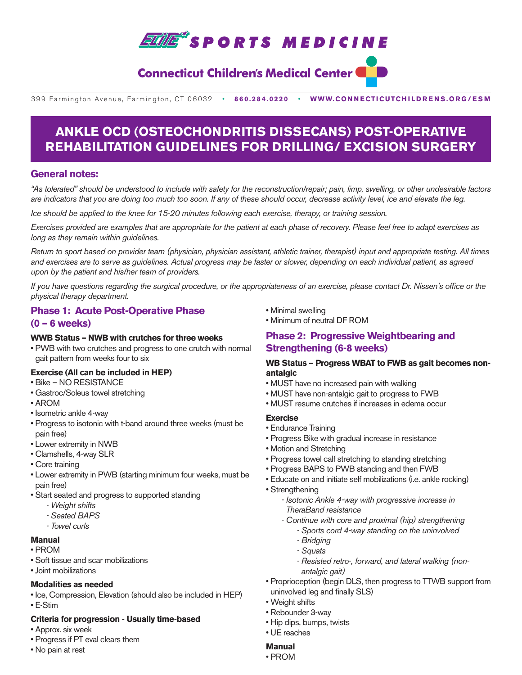

# **Connecticut Children's Medical Center**

399 Farmington Avenue, Farmington, CT 06032•**860.284.0220**•**WWW.CONNECTICUTCHILDRENS.ORG/ESM**

# **ANKLE OCD (OSTEOCHONDRITIS DISSECANS) POST-OPERATIVE REHABILITATION GUIDELINES FOR DRILLING/ EXCISION SURGERY**

### **General notes:**

*"As tolerated" should be understood to include with safety for the reconstruction/repair; pain, limp, swelling, or other undesirable factors are indicators that you are doing too much too soon. If any of these should occur, decrease activity level, ice and elevate the leg.*

*Ice should be applied to the knee for 15-20 minutes following each exercise, therapy, or training session.*

*Exercises provided are examples that are appropriate for the patient at each phase of recovery. Please feel free to adapt exercises as long as they remain within guidelines.*

*Return to sport based on provider team (physician, physician assistant, athletic trainer, therapist) input and appropriate testing. All times and exercises are to serve as guidelines. Actual progress may be faster or slower, depending on each individual patient, as agreed upon by the patient and his/her team of providers.*

*If you have questions regarding the surgical procedure, or the appropriateness of an exercise, please contact Dr. Nissen's office or the physical therapy department.* 

### **Phase 1: Acute Post-Operative Phase (0 – 6 weeks)**

### **WWB Status – NWB with crutches for three weeks**

• PWB with two crutches and progress to one crutch with normal gait pattern from weeks four to six

### **Exercise (All can be included in HEP)**

- Bike NO RESISTANCE
- Gastroc/Soleus towel stretching
- AROM
- Isometric ankle 4-way
- Progress to isotonic with t-band around three weeks (must be pain free)
- Lower extremity in NWB
- Clamshells, 4-way SLR
- Core training
- Lower extremity in PWB (starting minimum four weeks, must be pain free)
- Start seated and progress to supported standing
	- *Weight shifts*
	- *Seated BAPS*
	- *Towel curls*

## **Manual**

- PROM
- Soft tissue and scar mobilizations
- Joint mobilizations

### **Modalities as needed**

• Ice, Compression, Elevation (should also be included in HEP) • E-Stim

### **Criteria for progression - Usually time-based**

- Approx. six week
- Progress if PT eval clears them
- No pain at rest
- Minimal swelling
- Minimum of neutral DF ROM

### **Phase 2: Progressive Weightbearing and Strengthening (6-8 weeks)**

### **WB Status – Progress WBAT to FWB as gait becomes nonantalgic**

- MUST have no increased pain with walking
- MUST have non-antalgic gait to progress to FWB
- MUST resume crutches if increases in edema occur

### **Exercise**

- Endurance Training
- Progress Bike with gradual increase in resistance
- Motion and Stretching
- Progress towel calf stretching to standing stretching
- Progress BAPS to PWB standing and then FWB
- Educate on and initiate self mobilizations (i.e. ankle rocking)
- Strengthening
	- *Isotonic Ankle 4-way with progressive increase in TheraBand resistance* 
		- *Continue with core and proximal (hip) strengthening*
			- *Sports cord 4-way standing on the uninvolved*
			- *Bridging*
			- *Squats*
			- *Resisted retro-, forward, and lateral walking (nonantalgic gait)*
- Proprioception (begin DLS, then progress to TTWB support from uninvolved leg and finally SLS)
- Weight shifts
- Rebounder 3-way
- Hip dips, bumps, twists
- UE reaches

# **Manual**

• PROM